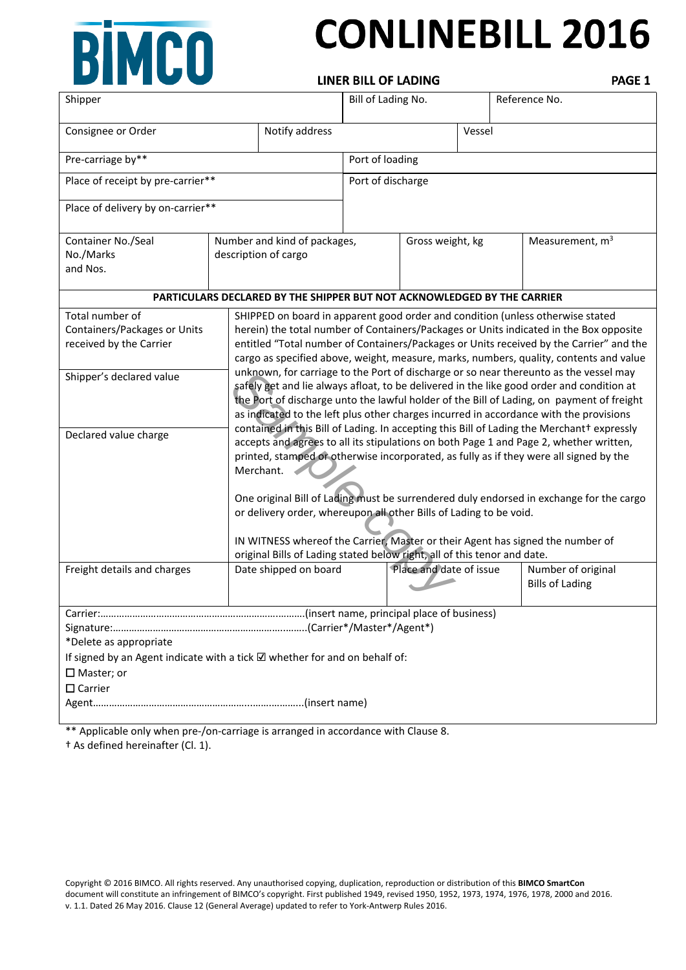

# **CONLINEBILL 2016**

**LINER BILL OF LADING** 

PAGE 1

| Shipper                                                                                                                                                  |                              |                                                                                                                                                                                                                                                                                                                                                                                                                                                                                                                                                                                                                                                                                                                                                                                                                                                                                                                                                                                                                                                                                                                                                                                                                                                                                                                                                             | Bill of Lading No. |                         |        | Reference No.                                |  |
|----------------------------------------------------------------------------------------------------------------------------------------------------------|------------------------------|-------------------------------------------------------------------------------------------------------------------------------------------------------------------------------------------------------------------------------------------------------------------------------------------------------------------------------------------------------------------------------------------------------------------------------------------------------------------------------------------------------------------------------------------------------------------------------------------------------------------------------------------------------------------------------------------------------------------------------------------------------------------------------------------------------------------------------------------------------------------------------------------------------------------------------------------------------------------------------------------------------------------------------------------------------------------------------------------------------------------------------------------------------------------------------------------------------------------------------------------------------------------------------------------------------------------------------------------------------------|--------------------|-------------------------|--------|----------------------------------------------|--|
| Notify address<br>Consignee or Order                                                                                                                     |                              |                                                                                                                                                                                                                                                                                                                                                                                                                                                                                                                                                                                                                                                                                                                                                                                                                                                                                                                                                                                                                                                                                                                                                                                                                                                                                                                                                             |                    |                         | Vessel |                                              |  |
| Pre-carriage by**                                                                                                                                        |                              | Port of loading                                                                                                                                                                                                                                                                                                                                                                                                                                                                                                                                                                                                                                                                                                                                                                                                                                                                                                                                                                                                                                                                                                                                                                                                                                                                                                                                             |                    |                         |        |                                              |  |
| Place of receipt by pre-carrier**                                                                                                                        |                              |                                                                                                                                                                                                                                                                                                                                                                                                                                                                                                                                                                                                                                                                                                                                                                                                                                                                                                                                                                                                                                                                                                                                                                                                                                                                                                                                                             | Port of discharge  |                         |        |                                              |  |
| Place of delivery by on-carrier**                                                                                                                        |                              |                                                                                                                                                                                                                                                                                                                                                                                                                                                                                                                                                                                                                                                                                                                                                                                                                                                                                                                                                                                                                                                                                                                                                                                                                                                                                                                                                             |                    |                         |        |                                              |  |
| Container No./Seal                                                                                                                                       | Number and kind of packages, |                                                                                                                                                                                                                                                                                                                                                                                                                                                                                                                                                                                                                                                                                                                                                                                                                                                                                                                                                                                                                                                                                                                                                                                                                                                                                                                                                             | Gross weight, kg   |                         |        | Measurement, m <sup>3</sup>                  |  |
| No./Marks<br>and Nos.                                                                                                                                    | description of cargo         |                                                                                                                                                                                                                                                                                                                                                                                                                                                                                                                                                                                                                                                                                                                                                                                                                                                                                                                                                                                                                                                                                                                                                                                                                                                                                                                                                             |                    |                         |        |                                              |  |
| PARTICULARS DECLARED BY THE SHIPPER BUT NOT ACKNOWLEDGED BY THE CARRIER                                                                                  |                              |                                                                                                                                                                                                                                                                                                                                                                                                                                                                                                                                                                                                                                                                                                                                                                                                                                                                                                                                                                                                                                                                                                                                                                                                                                                                                                                                                             |                    |                         |        |                                              |  |
| Total number of<br>Containers/Packages or Units<br>received by the Carrier<br>Shipper's declared value<br>Declared value charge                          | Merchant.                    | SHIPPED on board in apparent good order and condition (unless otherwise stated<br>herein) the total number of Containers/Packages or Units indicated in the Box opposite<br>entitled "Total number of Containers/Packages or Units received by the Carrier" and the<br>cargo as specified above, weight, measure, marks, numbers, quality, contents and value<br>unknown, for carriage to the Port of discharge or so near thereunto as the vessel may<br>safely get and lie always afloat, to be delivered in the like good order and condition at<br>the Port of discharge unto the lawful holder of the Bill of Lading, on payment of freight<br>as indicated to the left plus other charges incurred in accordance with the provisions<br>contained in this Bill of Lading. In accepting this Bill of Lading the Merchant+ expressly<br>accepts and agrees to all its stipulations on both Page 1 and Page 2, whether written,<br>printed, stamped or otherwise incorporated, as fully as if they were all signed by the<br>One original Bill of Lading must be surrendered duly endorsed in exchange for the cargo<br>or delivery order, whereupon all other Bills of Lading to be void.<br>IN WITNESS whereof the Carrier, Master or their Agent has signed the number of<br>original Bills of Lading stated below right, all of this tenor and date. |                    |                         |        |                                              |  |
| Freight details and charges                                                                                                                              | Date shipped on board        |                                                                                                                                                                                                                                                                                                                                                                                                                                                                                                                                                                                                                                                                                                                                                                                                                                                                                                                                                                                                                                                                                                                                                                                                                                                                                                                                                             |                    | Place and date of issue |        | Number of original<br><b>Bills of Lading</b> |  |
| *Delete as appropriate<br>If signed by an Agent indicate with a tick $\boxtimes$ whether for and on behalf of:<br>$\square$ Master; or<br>$\Box$ Carrier |                              |                                                                                                                                                                                                                                                                                                                                                                                                                                                                                                                                                                                                                                                                                                                                                                                                                                                                                                                                                                                                                                                                                                                                                                                                                                                                                                                                                             |                    |                         |        |                                              |  |

\*\* Applicable only when pre-/on-carriage is arranged in accordance with Clause 8.

† As defined hereinafter (Cl. 1).